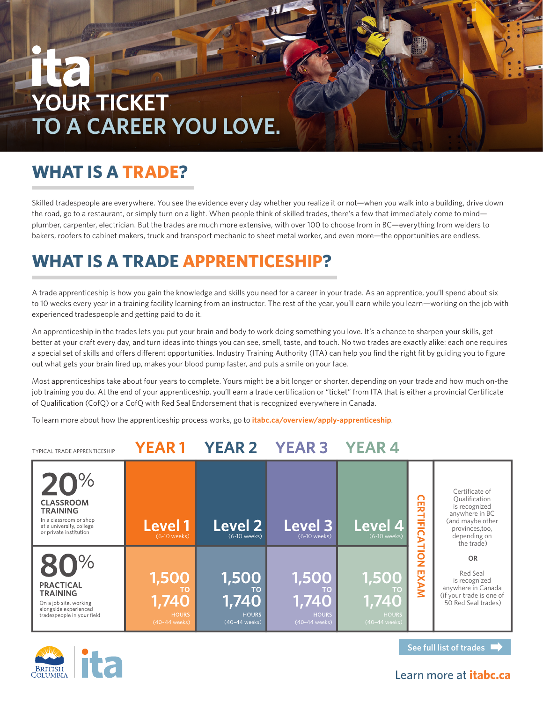# **YOUR TICKET TO A CAREER YOU LOVE.**

### **WHAT IS A TRADE?**

Skilled tradespeople are everywhere. You see the evidence every day whether you realize it or not—when you walk into a building, drive down the road, go to a restaurant, or simply turn on a light. When people think of skilled trades, there's a few that immediately come to mind plumber, carpenter, electrician. But the trades are much more extensive, with over 100 to choose from in BC—everything from welders to bakers, roofers to cabinet makers, truck and transport mechanic to sheet metal worker, and even more—the opportunities are endless.

### **WHAT IS A TRADE APPRENTICESHIP?**

A trade apprenticeship is how you gain the knowledge and skills you need for a career in your trade. As an apprentice, you'll spend about six to 10 weeks every year in a training facility learning from an instructor. The rest of the year, you'll earn while you learn—working on the job with experienced tradespeople and getting paid to do it.

An apprenticeship in the trades lets you put your brain and body to work doing something you love. It's a chance to sharpen your skills, get better at your craft every day, and turn ideas into things you can see, smell, taste, and touch. No two trades are exactly alike: each one requires a special set of skills and offers different opportunities. Industry Training Authority (ITA) can help you find the right fit by guiding you to figure out what gets your brain fired up, makes your blood pump faster, and puts a smile on your face.

Most apprenticeships take about four years to complete. Yours might be a bit longer or shorter, depending on your trade and how much on-the job training you do. At the end of your apprenticeship, you'll earn a trade certification or "ticket" from ITA that is either a provincial Certificate of Qualification (CofQ) or a CofQ with Red Seal Endorsement that is recognized everywhere in Canada.

To learn more about how the apprenticeship process works, go to **[itabc.ca/overview/apply-apprenticeship](http://itabc.ca/overview/apply-apprenticeship)**.

#### **YEAR1** YEAR 2 YEAR 3 **YEAR4 TYPICAL TRADE APPRENTICESHIP**  $\sqrt{O}$ Certificate of Qualification **CERTIFICATION EXAN CLASSROOM** is recognized **TRAINING** anywhere in BC In a classroom or shop (and maybe other **Level 1 Level 2 Level 4** Level 3 at a university, college provinces,too, or private institution depending on (6-10 weeks) (6-10 weeks) (6-10 weeks) (6-10 weeks) the trade) **OR**  $\sqrt{2}$ Red Seal  $\bigcap$ O is recognized **PRACTICAL** anywhere in Canada **TRAINING** (if your trade is one of **1,740 1,740 1,740 1,740** On a job site, working 50 Red Seal trades) alongside experienced tradespeople in your field noon.<br>40-44 weeks)



**See full list of trades**

### Learn more at **[itabc.ca](http://itabc.ca)**